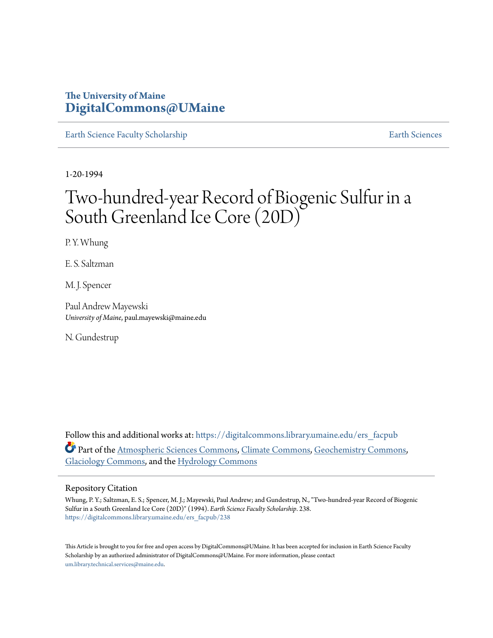# **The University of Maine [DigitalCommons@UMaine](https://digitalcommons.library.umaine.edu?utm_source=digitalcommons.library.umaine.edu%2Fers_facpub%2F238&utm_medium=PDF&utm_campaign=PDFCoverPages)**

[Earth Science Faculty Scholarship](https://digitalcommons.library.umaine.edu/ers_facpub?utm_source=digitalcommons.library.umaine.edu%2Fers_facpub%2F238&utm_medium=PDF&utm_campaign=PDFCoverPages) **[Earth Sciences](https://digitalcommons.library.umaine.edu/ers?utm_source=digitalcommons.library.umaine.edu%2Fers_facpub%2F238&utm_medium=PDF&utm_campaign=PDFCoverPages)** 

1-20-1994

# Two-hundred-year Record of Biogenic Sulfur in a South Greenland Ice Core (20D)

P. Y. Whung

E. S. Saltzman

M. J. Spencer

Paul Andrew Mayewski *University of Maine*, paul.mayewski@maine.edu

N. Gundestrup

Follow this and additional works at: [https://digitalcommons.library.umaine.edu/ers\\_facpub](https://digitalcommons.library.umaine.edu/ers_facpub?utm_source=digitalcommons.library.umaine.edu%2Fers_facpub%2F238&utm_medium=PDF&utm_campaign=PDFCoverPages) Part of the [Atmospheric Sciences Commons,](http://network.bepress.com/hgg/discipline/187?utm_source=digitalcommons.library.umaine.edu%2Fers_facpub%2F238&utm_medium=PDF&utm_campaign=PDFCoverPages) [Climate Commons,](http://network.bepress.com/hgg/discipline/188?utm_source=digitalcommons.library.umaine.edu%2Fers_facpub%2F238&utm_medium=PDF&utm_campaign=PDFCoverPages) [Geochemistry Commons,](http://network.bepress.com/hgg/discipline/157?utm_source=digitalcommons.library.umaine.edu%2Fers_facpub%2F238&utm_medium=PDF&utm_campaign=PDFCoverPages) [Glaciology Commons](http://network.bepress.com/hgg/discipline/159?utm_source=digitalcommons.library.umaine.edu%2Fers_facpub%2F238&utm_medium=PDF&utm_campaign=PDFCoverPages), and the [Hydrology Commons](http://network.bepress.com/hgg/discipline/1054?utm_source=digitalcommons.library.umaine.edu%2Fers_facpub%2F238&utm_medium=PDF&utm_campaign=PDFCoverPages)

## Repository Citation

Whung, P. Y.; Saltzman, E. S.; Spencer, M. J.; Mayewski, Paul Andrew; and Gundestrup, N., "Two-hundred-year Record of Biogenic Sulfur in a South Greenland Ice Core (20D)" (1994). *Earth Science Faculty Scholarship*. 238. [https://digitalcommons.library.umaine.edu/ers\\_facpub/238](https://digitalcommons.library.umaine.edu/ers_facpub/238?utm_source=digitalcommons.library.umaine.edu%2Fers_facpub%2F238&utm_medium=PDF&utm_campaign=PDFCoverPages)

This Article is brought to you for free and open access by DigitalCommons@UMaine. It has been accepted for inclusion in Earth Science Faculty Scholarship by an authorized administrator of DigitalCommons@UMaine. For more information, please contact [um.library.technical.services@maine.edu](mailto:um.library.technical.services@maine.edu).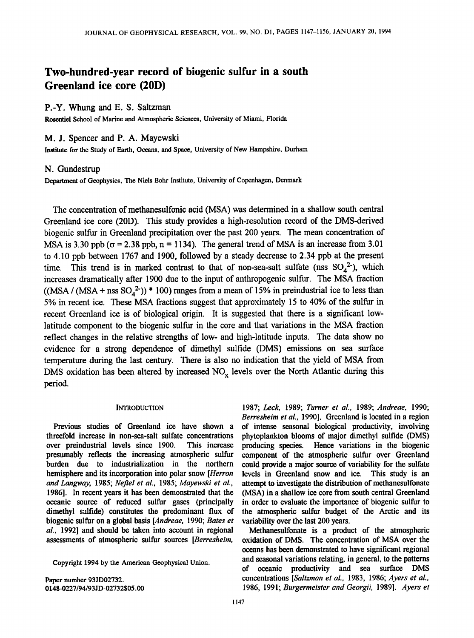# **Two-hundred-year record of biogenic sulfur in a south Greenland ice core (20D)**

## **P.-Y. Whung and E. S. Saltzman**

**Roscntiel School of Marine and Atmospheric Sciences, University of Miami, Florida** 

# **M. J. Spencer and P. A. Mayewski**

**Institute for the Study of Earth, Oceans, and Space, University of New Hampshire, Durham** 

#### **N. Gundestrup**

**Department of Geophysics, The Niels Bohr Institute, University of Copenhagen, Denmark** 

The concentration of methanesulfonic acid (MSA) was determined in a shallow south central **Greenland ice core (20D). This study provides a high-resolution record of the DMS-derived**  biogenic sulfur in Greenland precipitation over the past 200 years. The mean concentration of MSA is 3.30 ppb ( $\sigma$  = 2.38 ppb, n = 1134). The general trend of MSA is an increase from 3.01 **to 4.10 ppb between 1767 and 1900, followed by a steady decrease to 2.34 ppb at the present**  time. This trend is in marked contrast to that of non-sea-salt sulfate (nss  $SO_4^2$ ), which **increases dramatically after 1900 due to the input of anthropogenic sulfur. The MSA fraction**   $((MSA / (MSA + nss SO<sub>4</sub><sup>2</sup>)) * 100)$  ranges from a mean of 15% in preindustrial ice to less than 5% in recent ice. These MSA fractions suggest that approximately 15 to 40% of the sulfur in **recent Greenland ice is of biological origin. It is suggested that there is a significant lowlatitude component to the biogenic sulfur in the core and that variations in the MSA fraction reflect changes in the relative strengths of low- and high-latitude inputs. The data show no evidence for a strong dependence of dimethyl sulfide (DMS) emissions on sea surface temperature during the last century. There is also no indication that the yield of MSA from**  DMS oxidation has been altered by increased NO<sub>x</sub> levels over the North Atlantic during this **period.** 

#### **INTRODUCTION**

**Previous studies of Greenland ice have shown a threefold increase in non-sea-salt sulfate concentrations over preindustrial levels since 1900. This increase presumably reflects the increasing atmospheric sulfur burden due to industrialization in the northern hemisphere and its incorporation into polar snow [Herron and Langway, 1985; Neffel eta!., 1985; Mayewski et al., 1986]. In recent years it has been demonstrated that the oceanic source of reduced sulfur gases (principally dimethyl sulfide) constitutes the predominant flux of biogenic sulfur on a global basis [Andreae, 1990; Bates et al., 1992] and should be taken into account in regional assessments of atmospheric sulfur sources [Berresheim,** 

**Copyright 1994 by the American Geophysical Union.** 

**Paper number 93JD02732. 0148-0227/94/93JD-02732505.00**  **1987; Leck, 1989; Turner et aL, 1989; Andreae, 1990; Berresheim et al., 1990]. Greenland is located in a region of intense seasonal biological productivity, involving phytoplankton blooms of major dimethyl sulfide (DMS) producing species. Hence variations in the biogenic component of the atmospheric sulfur over Greenland could provide a major source of variability for the sulfate levels in Greenland snow and ice. This study is an**  attempt to investigate the distribution of methanesulfonate **(MSA) in a shallow ice core from south central Greenland in order to evaluate the importance of biogenic sulfur to the atmospheric sulfur budget of the Arctic and its variability over the last 200 years.** 

**Methanesulfonate is a product of the atmospheric oxidation of DMS. The concentration of MSA over the oceans has been demonstrated to have significant regional and seasonal variations relating, in general, to the patterns of oceanic productivity and sea surface DMS concentrations [Saltzman et al., 1983, 1986; Ayers et al., 1986, 1991; Burgermeister and Georgii, 1989]. Ayers et**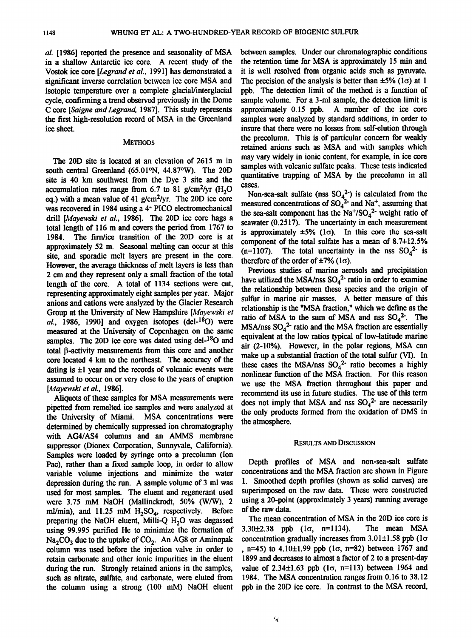**al. [1986] reported the presence and seasonality of MSA in a shallow Antarctic ice core. A recent study of the Vostok ice core [Legrand et al., 1991] has demonstrated a significant inverse correlation between ice core MSA and isotopic temperature over a complete glacial/interglacial cycle, confirming a trend observed previously in the Dome C core [Saigne and Legrand, 1987]. This study represents the first high-resolution record of MSA in the Greenland ice sheet.** 

#### **METHODS**

**The 20D site is located at an elevation of 2615 m in south central Greenland (65.01øN, 44.87øW). The 20D site is 40 km southwest from the Dye 3 site and the**  accumulation rates range from  $6.7$  to  $81$  g/cm<sup>2</sup>/vr  $(H<sub>2</sub>O)$ **eq.) with a mean value of 41 g/cm2/yr. The 20D ice core was recovered in 1984 using a 4" PICO electromechanical drill [Mayewski et al., 1986]. The 20D ice core hags a total length of 116 m and covers the period from 1767 to**  The firn/ice transition of the 20D core is at **approximately 52 m. Seasonal melting can occur at this site, and sporadic melt layers are present in the core. However, the average thickness of melt layers is less than 2 cm and they represent only a small fraction of the total length of the core. A total of 1134 sections were cut, represeming approximately eight samples per year. Major anions and cations were analyzed by the Glacier Research Group at the University of New Hampshire [Mayewski et al., 1986, 1990] and oxygen isotopes (del-180) were measured at the University of Copenhagen on the same samples. The 20D ice core was dated using del-180 and total 13-activity measurements from this core and another core located 4 km to the northeast. The accuracy of the**  dating is  $\pm 1$  year and the records of volcanic events were **assumed to occur on or very close to the years of eruption [Mayewski et al., 1986].** 

**Aliquots of these samples for MSA measurements were pipetted from remelted ice samples and were analyzed at the University of Miami. MSA concentrations were determined by chemically suppressed ion chromatography with AG4/AS4 columns and an AMMS membrane suppressor (Dionex Corporation, Sunnyvale, California). Samples were loaded by syringe onto a precolumn (Ion Pac), rather than a fixed sample loop, in order to allow variable volume injections and minimize the water depression during the run. A sample volume of 3 ml was used for most samples. The eluent and regenerant used were 3.75 mM NaOH (Mallinckrodt, 50% (W/W), 2**  ml/min), and 11.25 mM H<sub>2</sub>SO<sub>4</sub>, respectively. Before preparing the NaOH eluent, Milli-Q H<sub>2</sub>O was degassed **using 99.995 purified He to minimize the formation of**  Na<sub>2</sub>CO<sub>3</sub> due to the uptake of CO<sub>2</sub>. An AG8 or Aminopak **column was used before the injection valve in order to retain carbonate and other ionic impurities in the eluent during the run. Strongly retained anions in the samples, such as nitrate, sulfate, and carbonate, were eluted from the column using a strong (100 mM) NaOH eluent**  **between samples. Under our chromatographic conditions the retention time for MSA is approximately 15 min and it is well resolved from organic acids such as pymvate.**  The precision of the analysis is better than  $\pm 5\%$  (1 $\sigma$ ) at 1 **ppb. The detection limit of the method is a function of sample volume. For a 3-ml sample, the detection limit is approximately 0.15 ppb. A number of the ice core samples were analyzed by standard additions, in order to insure that there were no losses from self-elution through the precolumn. This is of particular concern for weakly retained anions such as MSA and with samples which may vary widely in ionic content, for example, in ice core**  samples with volcanic sulfate peaks. These tests indicated **quantitative trapping of MSA by the precolumn in all cases.** 

**Non-sea-salt sulfate (nss SO42') is calculated from the**  measured concentrations of  $SO_4^2$  and Na<sup>+</sup>, assuming that the sea-salt component has the  $Na^{+}/SO_{4}^{2}$  weight ratio of **seawater (0.2517). The uncertainty in each measurement**  is approximately  $\pm 5\%$  ( $1\sigma$ ). In this core the sea-salt component of the total sulfate has a mean of 8.7 $\pm$ 12.5%  $(n=1107)$ . The total uncertainty in the nss  $SO_4^2$  is **therefore of the order of**  $\pm 7\%$  **(** $1\sigma$ **).** 

**Previous studies of marine aerosols and precipitation**  have utilized the MSA/nss  $SO_4^2$ <sup>-</sup> ratio in order to examine **the relationship between these species and the origin of sulfur in marine air masses. A better measure of this relationship is the "MSA fraction," which we define as the**  ratio of MSA to the sum of MSA and nss  $SO_4^2$ <sup>2</sup>. The MSA/nss SO<sub>4</sub><sup>2</sup> ratio and the MSA fraction are essentially **equivalent at the low ratios typical of low-latitude marine air (2-10%). However, in the polar regions, MSA can make up a substantial fraction of the total sulfur (VI). In**  these cases the MSA/nss  $SO_4^2$  ratio becomes a highly **nonlinear function of the MSA fraction. For this reason we use the MSA fraction throughout this paper and recommend its use in future studies. The use of this term**  does not imply that MSA and nss  $SO_4^2$ <sup>-</sup> are necessarily **the only products formed from the oxidation of DMS in the atmosphere.** 

#### **RESULTS AND DISCUSSION**

**Depth profiles of MSA and non-sea-salt sulfate concentrations and the MSA fraction are shown in Figure 1. Smoothed depth profiles (shown as solid curves) are superimposed on the raw data. These were constructed using a 20-point (approximately 3 years) running average of the raw data.** 

**The mean concentration of MSA in the 20D ice core is 3.30+2.38 ppb (lc•, n=1134). The mean MSA concentration gradually increases from 3.01±1.58 ppb (1σ**  $n=45$ ) to  $4.10\pm1.99$  ppb  $(1\sigma, n=82)$  between 1767 and **1899 and decreases to almost a factor of 2 to a present-day**  value of  $2.34 \pm 1.63$  ppb  $(1\sigma, n=113)$  between 1964 and **1984. The MSA concentration ranges from 0.16 to 38.12 ppb in the 20D ice core. In contrast to the MSA record,**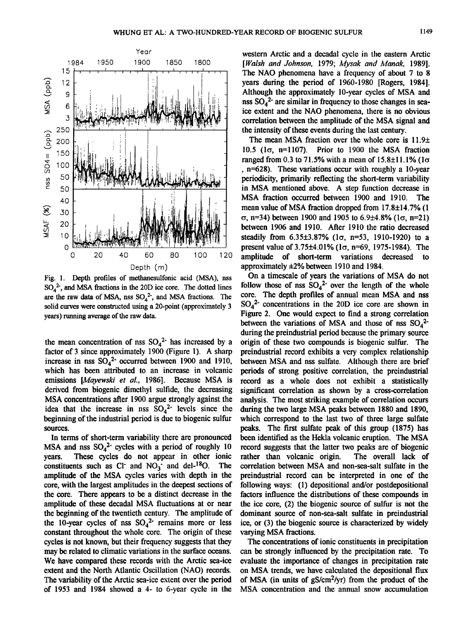

**Fig. 1. Depth profiles of methanesulfonic acid (MSA), nss SO42-, and MSA fractions in the 20D ice core. The dotted lines**  are the raw data of MSA, nss  $SO_4^2$ , and MSA fractions. The **solid curves were constructed using a 20-point (approximately 3 years) running average of the raw data.** 

the mean concentration of nss  $SO_4^2$ <sup>-</sup> has increased by a **factor of 3 since approximately 1900 (Figure 1). A sharp**  increase in nss  $SO_4^2$ - occurred between 1900 and 1910, **which has been attributed to an increase in volcanic emissions [Mayewski et al., 1986]. Because MSA is derived from biogenic dimethyl sulfide, the decreasing MSA concentrations after 1900 argue strongly against the** idea that the increase in nss  $SO_4^2$  levels since the **beginning Of the industrial period is due to biogenic sulfur sources.** 

**In terms of short-term variability there are pronounced MSA and nss**  $SO_4^2$  **cycles with a period of roughly 10 vears.** These cycles do not appear in other ionic These cycles do not appear in other ionic constituents such as C<sub>1</sub> and NO<sub>3</sub> and del-<sup>18</sup>O. The **amplitude of the MSA cycles varies with depth in the core, with the largest amplitudes in the deepest sections of the core. There appears to be a distinct decrease in the amplitude of these decadal MSA fluctuations at or near the beginning of the twentieth century. The amplitude of**  the 10-year cycles of nss  $SO_4^2$  remains more or less constant throughout the whole core. The origin of these **cycles is not known, but their frequency suggests that they may be related to climatic variations in the surface oceans. We have compared these records with the Arctic sea-ice extent and the North Atlantic Oscillation (NAO) records. The variability of the Arctic sea-ice extent over the period of 1953 and 1984 showed a 4- to 6-year cycle in the** 

**western Arctic and a decadal cycle in the eastern Arctic [Walsh and Johnson, 1979; Mysak and Manak, 1989]. The NAO phenomena have a frequency of about 7 to 8 years during the period of 1960-1980 [Rogers, 1984]. Although the approximately 10-year cycles of MSA and**  nss  $SO_4^2$ <sup>2</sup> are similar in frequency to those changes in sea**ice extent and the NAO phenomena, there is no obvious correlation between the amplitude of the MSA signal and the intensity of these events during the last century.** 

The mean MSA fraction over the whole core is 11.9<sup> $\pm$ </sup> 10.5 ( $1\sigma$ , n=1107). Prior to 1900 the MSA fraction **ranged from 0.3 to 71.5% with a mean of 15.8±11.1% (1σ , n=628). These variations occur with roughly a 10-year periodicity, primarily reflecting the short-term variability in MSA mentioned above. A step function decrease in MSA fraction occurred between 1900 and 1910. The mean value of MSA fraction dropped from 17.8+14.7% (1**   $\sigma$ , n=34) between 1900 and 1905 to 6.9 $\pm$ 4.8% (1 $\sigma$ , n=21) **between 1906 and 1910. After 1910 the ratio decreased**  steadily from 6.35±3.87% (1σ, n=53, 1910-1920) to a **present value of 3.75** $\pm$ **4.01% (1** $\sigma$ **, n=69, 1975-1984).** The amplitude of short-term variations decreased to amplitude of short-term variations approximately  $\pm 2\%$  between 1910 and 1984.

**On a timescale of years the variations of MSA do not**  follow those of nss  $SO_4^2$  over the length of the whole **core. The depth profiles of annual mean MSA and nss**   $SO<sub>A</sub><sup>2</sup>$  concentrations in the 20D ice core are shown in **Figure 2. One would expect to find a strong correlation**  between the variations of MSA and those of nss  $SO_4^2$ <sup>2</sup> **during the preindustrial period because the primary source origin of these two compounds is biogenic sulfur. The preindustrial record exhibits a very complex relationship between MSA and nss sulfate. Although there are brief periods of strong positive correlation, the preindustrial record as a whole does not exhibit a statistically significant correlation as shown by a cross-correlation analysis. The most striking example of correlation occurs during the two large MSA peaks between 1880 and 1890, which correspond to the last two of three large sulfate peaks. The first sulfate peak of this group (1875) has been identified as the Hekla volcanic eruption. The MSA record suggests that the latter two peaks are of biogenic**  rather than volcanic origin. **correlation between MSA and non-sea-salt sulfate in the preindustrial record can be interpreted in one of the following ways: (1) depositional and/or postdepositional factors influence the distributions of these compounds in the ice core, (2) the biogenic source of sulfur is not the dominant source of non-sea-salt sulfate in preindustrial ice, or (3) the biogenic source is characterized by widely varying MSA fractions.** 

**The concentrations of ionic constituents in precipitation can be strongly influenced by the precipitation rate. To evaluate the importance of changes in precipitation rate on MSA trends, we have calculated the depositional flux of MSA (in units of gS/cm2/yr) from the product of the MSA concentration and the annual snow accumulation**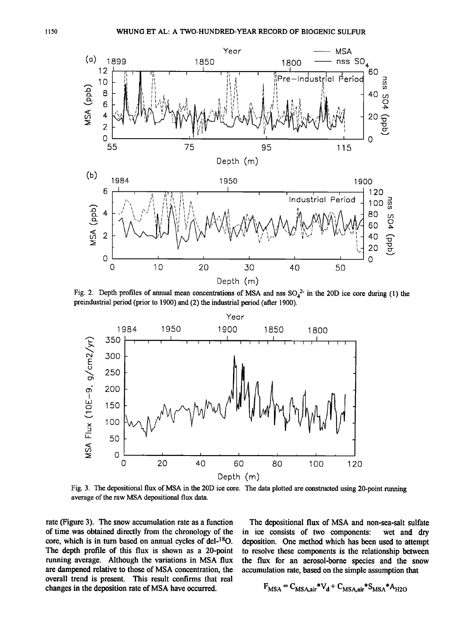

Fig. 2. Depth profiles of annual mean concentrations of MSA and nss SO<sub>4</sub><sup>2</sup> in the 20D ice core during (1) the **preindustrial period (prior to 1900) and (2) the industrial period (after 1900).** 



**Fig. 3. The depositional flux of MSA in the 20D ice core. The data plotted are constructed using 20-point running average of the raw MSA depositional fux data.** 

**rate (Figure 3). The snow accumulation rate as a function of time was obtained directly from the chronology of the**  core, which is in turn based on annual cycles of del-<sup>18</sup>O. **The depth profile of this flux is shown as a 20-point running average. Although the variations in MSA flux are dampened relative to those of MSA concentration, the overall trend is present. This result confirms that real changes in the deposition rate of MSA have occurred.** 

**The depositional flux of MSA and non-sea-salt sulfate**  in ice consists of two components: **deposition. One method which has been used to attempt to resolve these components is the relationship between the flux for an aerosol-borne species and the snow accumulation rate, based on the simple assumption that** 

$$
F_{MSA} = C_{MSA,air} * V_d + C_{MSA,air} * S_{MSA} * A_{H2O}
$$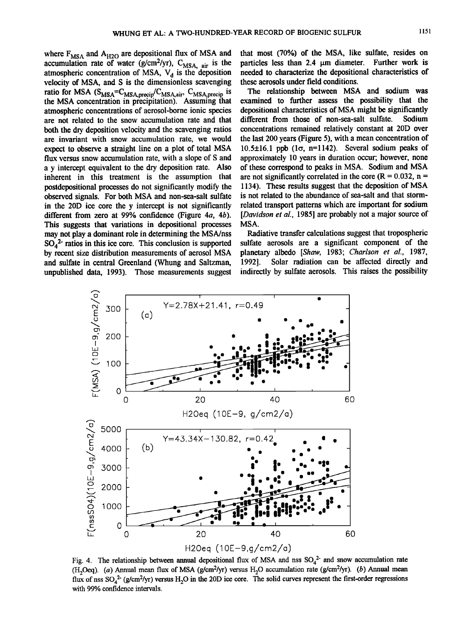where F<sub>MSA</sub> and A<sub>H2O</sub> are depositional flux of MSA and accumulation rate of water  $(g/cm^2$ /yr),  $C_{MSA, air}$  is the atmospheric concentration of MSA, V<sub>d</sub> is the deposition **velocity of MSA, and S is the dimensionless scavenging**  ratio for MSA (S<sub>MSA</sub>=C<sub>MSA,precip</sub>/C<sub>MSA,air</sub>, C<sub>MSA,precip</sub> is the MSA concentration in precipitation). Assuming that **atmospheric concentrations of aerosol-borne ionic species are not related to the snow accumulation rate and that**  both the dry deposition velocity and the scavenging ratios **are invariant with snow accumulation rate, we would**  expect to observe a straight line on a plot of total MSA **flux versus snow accumulation rate, with a slope of S and a y intercept equivalent to the dry deposition rate. Also inherent in this treatment is the assumption that postdepositional processes do not significantly modify the observed signals. For both MSA and non-sea-salt sulfate in the 20D ice core the y intercept is not significantly different from zero at 99% confidence (Figure 4a, 4b). This suggests that variations in alepositional processes may not play a dominant role in determining the MSA/nss**   $SO_4^2$ <sup>-</sup> ratios in this ice core. This conclusion is supported **by recent size distribution measurements of aerosol MSA and sulfate in central Greenland (Whung and Saltzman,**  unpublished data, 1993). Those measurements suggest

**that most (70%) of the MSA, like sulfate, resides on**  particles less than 2.4  $\mu$ m diameter. Further work is **needed to characterize the alepositional characteristics of these aerosols under field conditions.** 

**The relationship between MSA and sodium was examined to further assess the possibility that the alepositional characteristics of MSA might be significantly**  different from those of non-sea-salt sulfate. **concentrations remained relatively constant at 20D over the last 200 years (Figure 5), with a mean concentration of**  $10.5\pm16.1$  ppb  $(1\sigma, n=1142)$ . Several sodium peaks of **approximately 10 years in duration occur; however, none of these correspond to peaks in MSA. Sodium and MSA**  are not significantly correlated in the core  $(R = 0.032, n =$ **1134). These results suggest that the deposition of MSA is not related to the abundance of sea-salt and that stormrelated transport patterns which are important for sodium [Davidson et al., 1985] are probably not a major source of MSA.** 

**Radiative transfer calculations suggest that tropospheric sulfate aerosols are a significant component of the planetary albedo [Shaw, 1983; Charlson et al., 1987,**  Solar radiation can be affected directly and **indirectly by sulfate aerosols. This raises the possibility** 



Fig. 4. The relationship between annual depositional flux of MSA and nss SO<sub>4</sub><sup>2</sup> and snow accumulation rate (H<sub>2</sub>Oeq). (a) Annual mean flux of MSA ( $g/cm<sup>2</sup>/yr$ ) versus H<sub>2</sub>O accumulation rate ( $g/cm<sup>2</sup>/yr$ ). (b) Annual mean flux of nss  $SO_4^2$ <sup>-</sup> (g/cm<sup>2</sup>/yr) versus  $H_2O$  in the 20D ice core. The solid curves represent the first-order regressions **with 99% confidence intervals.**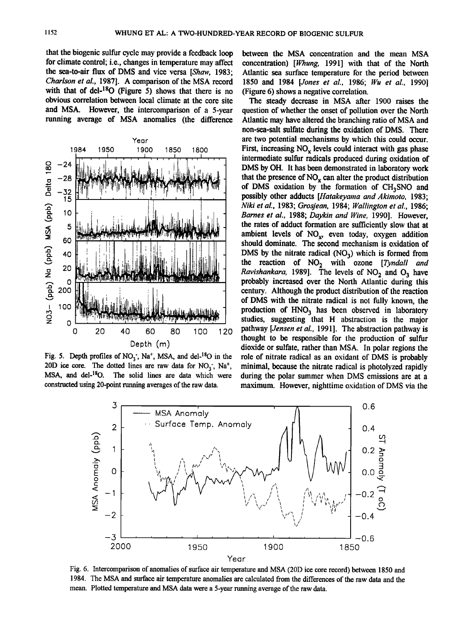**that the biogenic sulfur cycle may provide a feedback loop for climate control; i.e., changes in temperature may affect**  the sea-to-air flux of DMS and vice versa [Shaw, 1983; **Charlson et al., 1987]. A comparison of the MSA record**  with that of del-<sup>18</sup>O (Figure 5) shows that there is no **obvious correlation between local climate at the core site**  and MSA. However, the intercomparison of a 5-year **running average of MSA anomalies (the difference** 



Fig. 5. Depth profiles of NO<sub>3</sub><sup>-</sup>, Na<sup>+</sup>, MSA, and del-<sup>18</sup>O in the 20D ice core. The dotted lines are raw data for  $NO_3^-$ ,  $Na^+$ , MSA, and del-<sup>18</sup>O. The solid lines are data which were **constructed using 20-point running averages of the raw data.** 

**between the MSA concentration and the mean MSA concentration) [Whung, 1991] with that of the North Atlantic sea surface temperature for the period between 1850 and 1984 [Jones et al., 1986; Wu et al., 1990] (Figure 6) shows a negative correlation.** 

The steady decrease in MSA after 1900 raises the **question of whether the onset of pollution over the North Atlantic may have altered the branching ratio of MSA and non-sea-salt sulfate during the oxidation of DMS. There are two potential mechanisms by which this could occur.**  First, increasing NO<sub>x</sub> levels could interact with gas phase intermediate sulfur radicals produced during oxidation of **DMS by OH. It has been demonstrated in laboratory work**  that the presence of NO<sub>x</sub> can alter the product distribution of DMS oxidation by the formation of CH<sub>3</sub>SNO and possibly other adducts [Hatakeyama and Akimoto, 1983; **Niki et al., 1983; Grosjean, 1984; Wallington et ai., 1986; Barnes et al., 1988; Daykin and Wine, 1990]. However, the rates of adduct formation are sufficiently slow that at**  ambient levels of NO<sub>x</sub>, even today, oxygen addition **should dominate. The second mechanism is oxidation of**  DMS by the nitrate radical  $(NO_3)$  which is formed from the reaction of NO<sub>2</sub> with ozone [Tyndall and Ravishankara, 1989]. The levels of NO<sub>2</sub> and O<sub>3</sub> have **probably increased over the North Atlantic during this century. Although the product distribution of the reaction of DMS with the nitrate radical is not fully known, the**  production of HNO<sub>3</sub> has been observed in laboratory **studies, suggesting that H abstraction is the major pathway [Jensen et al., 1991]. The abstraction pathway is thought to be responsible for the production of sulfur dioxide or sulfate, rather than MSA. In polar regions the role of nitrate radical as an oxidant of DMS is probably minimal, because the nitrate radical is photolyzed rapidly during the polar summer when DMS emissions are at a maximum. However, nighttime oxidation of DMS via the** 



Fig. 6. Intercomparison of anomalies of surface air temperature and MSA (20D ice core record) between 1850 and **1984. The MSA and surface air temperature anomalies are calculated from the differences of the raw data and the mean. Plotted temperature and MSA data were a 5-year nmning average of the raw data.**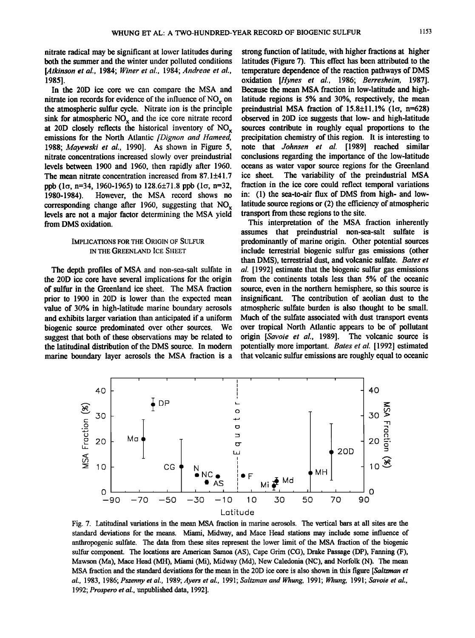**nitrate radical may be significant at lower latitudes during both the summer and the winter under polluted conditions [/ltkinson et al., 1984; Winer et al., 1984; Andreae et al., 1985].** 

**In the 20D ice core we can compare the MSA and nitrate ion records for evidence of the influence of NO<sub>y</sub> on the atmospheric sulfur cycle. Nitrate ion is the principle**  sink for atmospheric NO<sub>v</sub> and the ice core nitrate record at 20D closely reflects the historical inventory of NO<sub>x</sub> emissions for the North Atlantic *[Dignon and Hameed,* **1988; Mayewski et al., 1990]. As shown in Figure 5, nitrate concentrations increased slowly over preindustrial levels between 1900 and 1960, then rapidly after 1960.**  The mean nitrate concentration increased from 87.1 $\pm$ 41.7 **ppb** ( $1\sigma$ ,  $n=34$ , 1960-1965) to 128.6 $\pm$ 71.8 ppb ( $1\sigma$ ,  $n=32$ , 1980-1984). However, the MSA record shows no However, the MSA record shows no corresponding change after 1960, suggesting that NO<sub>v</sub> **levels are not a major factor determining the MSA yield from DM\$ oxidation.** 

## **IMPLICATIONS FOR THE ORIGIN OF SULFUR IN THE GREENLAND ICE SHEET**

**The depth profiles of MSA and non-sea-salt sulfate in the 20D ice core have several implications for the origin of sulfur in the Greenland ice sheet. The MSA fraction prior to 1900 in 20D is lower than the expected mean value of 30% in high-latitude marine boundary aerosols**  and exhibits larger variation than anticipated if a uniform **biogenic source predominated over other sources. We suggest that both of these observations may be related to the latitudinal distribution of the DMS source. In modern marine boundary layer aerosols the MSA fraction is a**  **strong function of latitude, with higher fractions at higher latitudes (Figure 7). This effect has been attributed to the temperature dependence of the reaction pathways of DMS oxidation [Hynes et al., 1986; Berresheim, 1987]. Because the mean MSA fraction in low-latitude and highlatitude regions is 5% and 30%, respectively, the mean preindustrial MSA fraction of**  $15.8\pm11.1\%$  **(** $1\sigma$ **,**  $n=628$ **) observed in 20D ice suggests that low- and high-latitude sources contribute in roughly equal proportions to the precipitation chemistry of this region. It is interesting to note that Johnsen et al. [1989] reached similar conclusions regarding the importance of the low-latitude oceans as water vapor source regions for the Greenland**  The variability of the preindustrial MSA **fraction in the ice core could reflect temporal variations in: (1) the sea-to-air flux of DMS from high- and lowlatitude source regions or (2) the efficiency of atmospheric transport from these regions to the site.** 

**This interpretation of the MSA fraction inherently assumes that preindustrial non-sea-salt sulfate is predominantly of marine origin. Other potential sources include terrestrial biogenic sulfur gas emissions (other than DMS), terrestrial dust, and volcanic sulfate. Bates et al. [1992] estimate that the biogenic sulfur gas emissions from the continents totals less than 5% of the oceanic source, even in the northern hemisphere, so this source is insignificant. The contribution of aeolian dust to the atmospheric sulfate burden is also thought to be small. Much of the sulfate associated with dust transport events**  over tropical North Atlantic appears to be of pollutant origin [Savoie et al., 1989]. The volcanic source is origin [Savoie et al., 1989]. **potentially more important. Bates et al. [1992] estimated that volcanic sulfur emissions are roughly equal to oceanic** 



**Fig. 7. Latitudinal variations in the mean MSA fraction in marine aerosols. The vertical bars at all sites are the standard deviations for the means. Miami, Midway, and Mace Head stations may include some influence of anthropogenic sulfate. The data from these sites represent the lower limit of the MSA fraction of the biogenic sulfur component. The locations are American Samoa (AS), Cape Grim (CG), Drake Passage (DP), Fanning (F), Mawson (Ma), Mace Head (MH), Miami (Mi), Midway (Md), New Caledonia (NC), and Norfolk (N). The mean**  MSA fraction and the standard deviations for the mean in the 20D ice core is also shown in this figure [Saltzman et **al., 1983, 1986; Pszenny et al., 1989; Ayers et al., 1991; Saltzman and Whung, 1991; Whung, 1991; Savoie et al., 1992; Prospero et al., unpublished data, 1992].**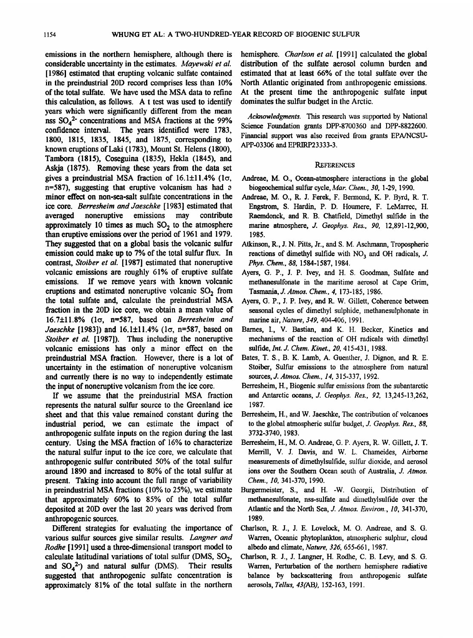**emissions in the northern hemisphere, although there is considerable uncertainty in the estimates. Mayewski et al. [1986] estimated that erupting volcanic sulfate contained in the preindustrial 20D record comprises less than 10% of the total sulfate. We have used the MSA data to refine this calculation, as follows. A t test was used to identify years which were significantly different from the mean**  nss SO<sub>4</sub><sup>2</sup> concentrations and MSA fractions at the 99% **confidence interval. The years identified were 1783, 1800, 1815, 1835, 1845, and 1875, corresponding to known eruptions of Laki (1783), Mount St. Helens (1800), Tambora (1815), Coseguina (1835), Hekla (1845), and Askja (1875). Removing these years from the data set**  gives a preindustrial MSA fraction of  $16.1 \pm 11.4\%$  ( $1\sigma$ , n=587), suggesting that eruptive volcanism has had a **minor effect on non-sea-salt sulfate concentrations in the**  ice core. *Berresheim and Jaeschke* [1983] estimated that averaged noneruptive emissions may contribute averaged noneruptive approximately 10 times as much  $SO<sub>2</sub>$  to the atmosphere **than eruptive emissions over the period of 1961 and 1979. They suggested that on a global basis the volcanic sulfur emission could make up to 7% of the total sulfur flux. In contrast, Stoiber et al. [1987] estimated that noneruptive volcanic emissions are roughly 61% of eruptive sulfate emissions. If we remove years with known volcanic**  eruptions and estimated noneruptive volcanic SO<sub>2</sub> from **the total surfate and, calculate the preindustrial MSA fraction in the 20D ice core, we obtain a mean value of 16.7+11.8% (lc•, n=587, based on Berresheim and daeschke [1983]) and 16.1+11.4% (lo, n=587, based on Stoiber et al. [1987]). Thus including the noneruptive volcanic emissions has only a minor effect on the preindustfial MSA fraction. However, there is a lot of uncertainty in the estimation of noneruptive volcanism and currently there is no way to independently estimate the input of noneruptive volcanism from the ice core.** 

**If we assume that the preindustrial MSA fraction represents the natural sulfur source to the Greenland ice sheet and that this value remained constant during the industrial period, we can estimate the impact of anthropogenic sulfate inputs on the region during the last century. Using the MSA fraction of 16% to characterize the natural sulfur input to the ice core, we calculate that anthropogenic sulfur contributed 50% of the total sulfur around 1890 and increased to 80% of the total sulfur at present. Taking into account the full range of variability**  in preindustrial MSA fractions (10% to 25%), we estimate **that approximately 60% to 85% of the total sulfur deposited at 20D over the last 20 years was derived from anthropogenic sources.** 

**Different strategies for evaluating the importance of various sulfur sources give similar results. Langner and Rodhe [ 1991] used a three-dimensional transport model to**  calculate latitudinal variations of total sulfur (DMS,  $SO_2$ , and  $SO_4^2$ ) and natural sulfur (DMS). Their results and  $SO_4^2$ <sup>-</sup>) and natural sulfur (DMS). **suggested that anthropogenic sulfate concentration is approximately 81% of the total sulfate in the northern** 

**hemisphere. Charlson et al. [1991] calculated the global distribution of the sulfate aerosol column burden and estimated that at least 66% of the total sulfate over the North Atlantic originated from anthropogenic emissions. At the present time the anthropogenic sulfate input dominates the sulfur budget in the Arctic.** 

Acknowledgments. This research was supported by National **Science Foundation grants DPP-8700360 and DPP-8822600. Financial support was also received from grants EPA/NCSU-APP-03306 and EPRIRP23333-3.** 

#### **REFERENCES**

- **Andreae, M. 0., Ocean-atmosphere interactions in the global**  biogeochemical sulfur cycle, Mar. Chem., 30, 1-29, 1990.
- **Andreae, M. O., R. J. Ferek, F. Bermond, K. P. Byrd, R. T. Engstrom, S. Hardin, P. D. Houmere, F. LeMarrec, H. Raemdonck, and R. B. Chatfield, Dimethyl sulfide in the marine atmosphere, `/. Geophys. Res., 90, 12,891-12,900, 1985.**
- **Atkinson, R., J. N. Pitts, Jr., and S. M. Aschmann, Tropospheric**  reactions of dimethyl sulfide with NO<sub>3</sub> and OH radicals, *J*. **Phys. Chern., 88, 1584-1587, 1984.**
- **Ayers, G. P., J.P. Ivey, and H. S. Goodman, Sulfate and methanesulfonate inthe maritime aerosol at Cape Grim, Tasmania,,/. Atmos. Chem., 4, 173-185, 1986.**
- **Ayers, G. P., J.P. Ivey, and R. W. Gillett, Coherence between seasonal cycles of dimethyl sulphide, methanesulphonate in marine air, Nature, 349, 404-406, 1991.**
- **Barnes, I., V. Bastian, and K. H. Becker, Kinetics and mechanisms of the reaction of OH radicals with dimethyl**  sulfide, *Int. J. Chem. Kinet., 20*, 415-431, 1988.
- **Bates, T. S., B. K. Lamb, A. Guenther, J. Dignon, and R. E. Stoiber, Sulfur emissions to the atmosphere from natural sources,,/. Atmos. Chem., 14, 315-337, 1992.**
- **Berresheim, H., Biogenic sulfur emissions from the subantarctic**  and Antarctic oceans, *J. Geophys. Res.*, 92, 13,245-13,262, **1987.**
- **Berresheim, H., and W. Jaeschke, The contribution of volcanoes**  to the global atmospheric sulfur budget, *J. Geophys. Res.*, 88, **3732-3740, 1983.**
- **Berresheim, H., M. O. Andreae, G. P. Ayers, R. W. Gillett, J. T. Merrill, V. J. Davis, and W. L. Chameides, Airborne**  measurements of dimethylsulfide, sulfur dioxide, and aerosol ions over the Southern Ocean south of Australia, J. Atmos. **Chem., 10, 341-370, 1990.**
- **Burgermeister, S., and H.-W. Georgii, Distribution of methanesulfonate, nss-sulfate and dimethylsulfide over the**  Atlantic and the North Sea, *J. Atmos. Environ.*, 10, 341-370, **1989.**
- **Charlson, R. J., J. E. Lovelock, M. O. Andreae, and S. G. Warren, Oceanic phytoplankton, atmospheric sulphur, cloud albedo and climate, Nature, 326, 655-661, 1987.**
- **Charlson, R. J., J. Langner, H. Rodhe, C. B. Levy, and S. G. Warren, Perturbation of the northern hemisphere radiative balance by backscattering from anthropogenic sulfate aerosols, l•llus, 43(AB), 152-163, 1991.**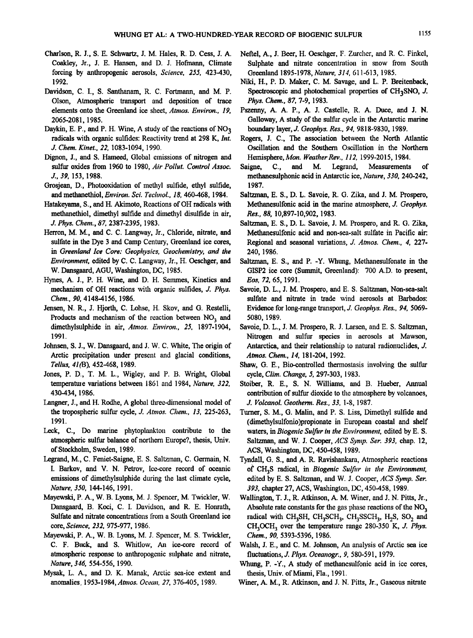- **Charlson, R. J., S. E. Schwartz, J. M. Hales, R. D. Cess, J. A. Coakley, Jr., J. E. Hansen, and D. J. Hofmann, Climate forcing by anthropogenic aerosols, Science. 255. 423-430, 1992.**
- **Davidson, C. I., S. Santhanam, R. C. Fortmann, and M.P. Olson, Atmospheric transport and deposition of trace elements onto the Greenland ice sheet, Atmos. Environ.. 19. 2065-2081, 1985.**
- Daykin, E. P., and P. H. Wine, A study of the reactions of NO<sub>3</sub> **radicals with organic sulfides: Reactivity trend at 298 K, lnt. J. Chem. Kinet.. 22, 1083-1094, 1990.**
- Dignon, J., and S. Hameed, Global emissions of nitrogen and **sulfur oxides from 1960 to 1980, Air Pollut. Control Assoc. J., 39. 153, 1988.**
- **Crrosjean, D., Photooxidation of methyl sulfide, ethyl sulfide, and methanethiol, Environ. Sci. Technol.. 18. 460-468, 1984.**
- **Hatakeyama, S., and H. Akimoto, Reactions of OH radicals with methanethiol, dimethyl sulfide and dimethyl disulfide in air, J. Phys. Chem., 87. 2387-2395, 1983.**
- **Herron, M. M., and C. C. Langway, Jr., Chloride, nitrate, and sulfate in the Dye 3 and Camp Century, Greenland ice cores,**  in Greenland Ice Core: Geophysics, Geochemistry, and the **Environment, edited by C. C. Langway, Jr., H. Oeschger, and W. Dansgaard, AGU, Washington, DC, 1985.**
- Hynes, A. J., P. H. Wine, and D. H. Semmes, Kinetics and **mechanism of OH reactions with organic sulfides, J. Phys. Chem., 90, 41484156, 1986.**
- **Jensen, N. R., J. Hjorth, C. Lohse, H. Skov, and G. Restelli,**  Products and mechanism of the reaction between NO<sub>3</sub> and **dimethylsulphide in air, Atmos. Environ.. 25. 1897-1904, 1991.**
- **Johnsen, S. J., W. Dansgaard, and J. W. C. White, The origin of**  Arctic precipitation under present and glacial conditions, **Tellus. 41(B), 452-468, 1989.**
- **Jones, P. D., T. M. L., Wigley, and P. B. Wright, Global temperature variations between 1861 and 1984, Nature. 322. 430-434, 1986.**
- Langner, J., and H. Rodhe, A global three-dimensional model of **the tropospheric sulfur cycle, J. Atmos. Chem., 13. 225-263, 1991.**
- **Leck, C., Do marine phytoplankton contribute to the atmospheric sulfur balance of northern Europe?, thesis, Univ. of Stockholm, Sweden, 1989.**
- Legrand, M., C. Feniet-Saigne, E. S. Saltzman, C. Germain, N. **I. Barkov, and V. N. Petrov, Ice-core record of oceanic emissions of dimethylsulphide during the last climate cycle, Nature. 350, 144-146, 1991.**
- **Mayewski, P. A., W. B. Lyons, M. J. Spencer, M. Twickler, W. Dansgaard, B. Koci, C. I. Davidson, and R. E. Honrath,**  Sulfate and nitrate concentrations from a South Greenland ice **core, Science, 232. 975-977, 1986.**
- **Mayewski, P. A., W. B. Lyons, M. J. Spencer, M. S. Twickler,**  C. F. Buck, and S. Whitlow, An ice-core record of **atmospheric response to anthropogenic sulphate and nitrate, Nature, 346, 554-556, 1990.**
- **Mysak, L. A., and D. K. Manak, Arctic sea-ice extent and anomalies, 1953-1984, Atmos. Ocean, 27. 376-405, 1989.**
- Neftel, A., J. Beer, H. Oeschger, F. Zurcher, and R. C. Finkel, **Sulphate and nitrate concentration in snow from South Greenland 1895-1978, Nature. 314. 611-613, 1985.**
- **Niki, H., P. D. Maker, C. M. Savage, and L. P. Breitenback,**  Spectroscopic and photochemical properties of CH<sub>3</sub>SNO, *J.* **Phys. Chem., 87, 7-9, 1983.**
- **Pszenny, A. A. P., A. J. Castelie, R. A. Duce, and J. N. Galloway, A study of the sulfur cycle in the Antarctic marine boundary layer, J. Geophys. Res.. 94, 9818-9830, 1989.**
- **Rogers, J. C., The association between the North Atlantic Oscillation and the Southern Oscillation in the Northern**
- Hemisphere, *Mon. Weather Rev., 112,* 1999-2015, 1984.<br>Saigne, C., and M. Legrand, Measurements Measurements of **methanesulphonic aid in Antarctic ice, Nature, 330. 240-242, 1987.**
- **Saltzman, E. S., D. L. Savoie, R. G. Zika, and J. M. Prospero,**  Methanesulfonic acid in the marine atmosphere, *J. Geophys.* **Res., 88, 10,897-10,902, 1983.**
- **Saltzman, E. S., D. L. Savoie, J. M. Prospero, and R. G. Zika, Methanesulfonic acid and non-sea-salt sulfate in Pacific air: Regional and seasonal variations, J. Atmos. Chem.. 4, 227- 240, 1986.**
- **Saltzman, E. S., and P. -Y. Whung, Methanesulfonate in the GISP2 ice core (Summit, Greenland): 700 A.D. to present, Eos, 72, 65, 1991.**
- **Savoie, D. L., J. M. Prospero, and E. S. Saltzman, Non-sea-salt sulfate and nitrate in trade wind aerosols at Barbados: Evidence for long-range transport, J. Geophys. Res.. 94. 5069- 5080, 1989.**
- **Savoie, D. L., J. M. Prospero, R. J. Larsen, and E. S. Saltzman, Nitrogen and sulfur species in aerosols at Mawson, Antarctica, and their relationship to natural radionuclides, J. Atmos. Chem.. 14, 181-204, 1992.**
- Shaw, G. E., Bio-controlled thermostasis involving the sulfur **cycle, Clim. Change, 5. 297-303, 1983.**
- **Stoiber, R. E., S. N. Williams, and B. Hueber, Annual contribution of sulfur dioxide to the atmosphere by volcanoes, J. Volcanol. Geotherm. Res., 33. 1-8, 1987.**
- **Turner, \$. M., G. Malin, and P.S. Liss, Dimethyl sulfide and (dimethylsulfonio)propionate in European coastal and shelf**  waters, in Biogenic Sulfur in the Environment, edited by E. S. Saltzman, and W. J. Cooper, ACS Symp. Ser. 393, chap. 12, **ACS, Washington, DC, 450-458, 1989.**
- **Tyndall, G. S., mid A. R. Ravishankara, Atmospheric reactions**  of CH<sub>3</sub>S radical, in Biogenic Sulfur in the Environment, edited by E. S. Saltzman, and W. J. Cooper, ACS Symp. Ser. **393, chapter 27, ACS, Washington, DC, 450-458, 1989.**
- **Wallington, T. J., R. Atkinson, A.M. Winer, and J. N. Pitts, Jr.,**  Absolute rate constants for the gas phase reactions of the NO<sub>3</sub> radical with CH<sub>3</sub>SH, CH<sub>3</sub>SCH<sub>3</sub>, CH<sub>3</sub>SSCH<sub>3</sub>, H<sub>2</sub>S, SO<sub>2</sub> and CH<sub>3</sub>OCH<sub>3</sub> over the temperature range 280-350 K, J. Phys. **Chem., 90. 5393-5396, 1986.**
- **Walsh, J. E., and C. M. Johnson, Am analysis of Arctic sea ice fluctuations, J.Phys. Oceanogr., 9, 580-591, 1979.**
- Whung, P. -Y., A study of methanesulfonic acid in ice cores, **thesis, Univ. of Miami, Fla., 1991.**
- **Winer, A.M., R. Atkinson, and J. N. Pitts, Jr., Gaseous nitrate**